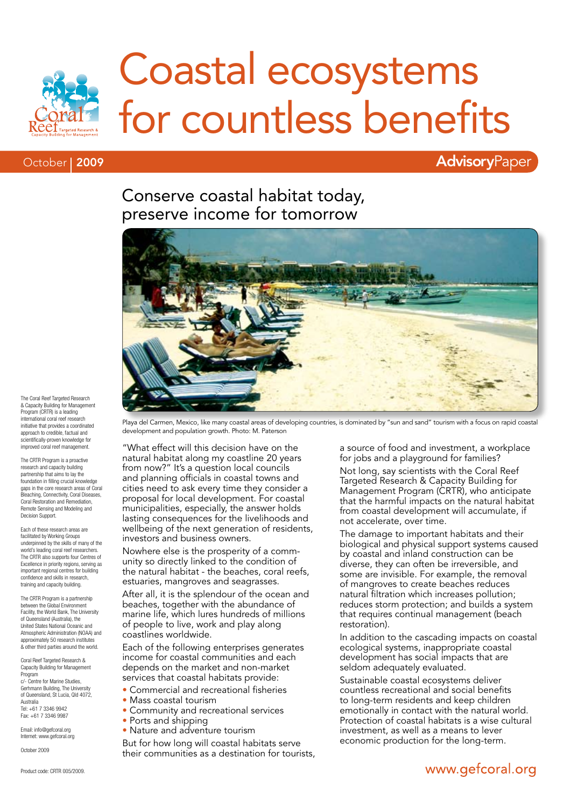

# Coastal ecosystems for countless benefits

#### October | 2009

### **AdvisoryPaper**

### Conserve coastal habitat today, preserve income for tomorrow



The Coral Reef Targeted Research & Capacity Building for Management Program (CRTR) is a leading international coral reef research initiative that provides a coordinated approach to credible, factual and scientifically-proven knowledge for improved coral reef management.

The CRTR Program is a proactive research and capacity building partnership that aims to lay the foundation in filling crucial knowledge gaps in the core research areas of Coral Bleaching, Connectivity, Coral Diseases, Coral Restoration and Remediation, Remote Sensing and Modeling and Decision Support.

Each of these research areas are facilitated by Working Groups underpinned by the skills of many of the world's leading coral reef researchers. The CRTR also supports four Centres of Excellence in priority regions, serving as important regional centres for building confidence and skills in research, training and capacity building.

The CRTR Program is a partnership between the Global Environment Facility, the World Bank, The University of Queensland (Australia), the United States National Oceanic and Atmospheric Administration (NOAA) and approximately 50 research institutes & other third parties around the world.

Coral Reef Targeted Research & Capacity Building for Management Program c/- Centre for Marine Studies, Gerhmann Building, The University of Queensland, St Lucia, Qld 4072, Australia Tel: +61 7 3346 9942 Fax: +61 7 3346 9987

Email: info@gefcoral.org Internet: www.gefcoral.org

October 2009

Playa del Carmen, Mexico, like many coastal areas of developing countries, is dominated by "sun and sand" tourism with a focus on rapid coastal development and population growth. Photo: M. Paterson

"What effect will this decision have on the natural habitat along my coastline 20 years from now?" It's a question local councils and planning officials in coastal towns and cities need to ask every time they consider a proposal for local development. For coastal municipalities, especially, the answer holds lasting consequences for the livelihoods and wellbeing of the next generation of residents, investors and business owners.

Nowhere else is the prosperity of a community so directly linked to the condition of the natural habitat - the beaches, coral reefs, estuaries, mangroves and seagrasses.

After all, it is the splendour of the ocean and beaches, together with the abundance of marine life, which lures hundreds of millions of people to live, work and play along coastlines worldwide.

Each of the following enterprises generates income for coastal communities and each depends on the market and non-market services that coastal habitats provide:

- Commercial and recreational fisheries
- Mass coastal tourism
	- Community and recreational services
	- Ports and shipping
	- Nature and adventure tourism

But for how long will coastal habitats serve their communities as a destination for tourists,

a source of food and investment, a workplace for jobs and a playground for families?

Not long, say scientists with the Coral Reef Targeted Research & Capacity Building for Management Program (CRTR), who anticipate that the harmful impacts on the natural habitat from coastal development will accumulate, if not accelerate, over time.

The damage to important habitats and their biological and physical support systems caused by coastal and inland construction can be diverse, they can often be irreversible, and some are invisible. For example, the removal of mangroves to create beaches reduces natural filtration which increases pollution; reduces storm protection; and builds a system that requires continual management (beach restoration).

In addition to the cascading impacts on coastal ecological systems, inappropriate coastal development has social impacts that are seldom adequately evaluated.

Sustainable coastal ecosystems deliver countless recreational and social benefits to long-term residents and keep children emotionally in contact with the natural world. Protection of coastal habitats is a wise cultural investment, as well as a means to lever economic production for the long-term.

### www.gefcoral.org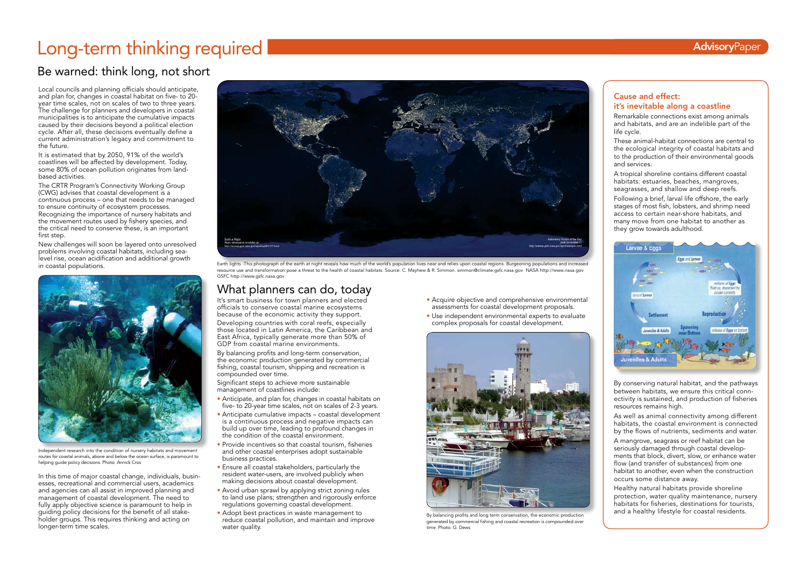#### Cause and effect: it's inevitable along a coastline

Remarkable connections exist among animals and habitats, and are an indelible part of the life cycle.

A tropical shoreline contains different coastal habitats: estuaries, beaches, mangroves, seagrasses, and shallow and deep reefs.

These animal-habitat connections are central to the ecological integrity of coastal habitats and to the production of their environmental goods and services.

Following a brief, larval life offshore, the early stages of most fish, lobsters, and shrimp need access to certain near-shore habitats, and many move from one habitat to another as they grow towards adulthood.



By conserving natural habitat, and the pathways between habitats, we ensure this critical connectivity is sustained, and production of fisheries resources remains high.

As well as animal connectivity among different habitats, the coastal environment is connected by the flows of nutrients, sediments and water.

A mangrove, seagrass or reef habitat can be seriously damaged through coastal developments that block, divert, slow, or enhance water flow (and transfer of substances) from one habitat to another, even when the construction occurs some distance away.

Healthy natural habitats provide shoreline protection, water quality maintenance, nursery habitats for fisheries, destinations for tourists, and a healthy lifestyle for coastal residents.

# What planners can do, today

It's smart business for town planners and elected officials to conserve coastal marine ecosystems because of the economic activity they support.

Developing countries with coral reefs, especially those located in Latin America, the Caribbean and East Africa, typically generate more than 50% of GDP from coastal marine environments.

By balancing profits and long-term conservation, the economic production generated by commercial fishing, coastal tourism, shipping and recreation is compounded over time.

Significant steps to achieve more sustainable management of coastlines include:

- Acquire objective and comprehensive environmental assessments for coastal development proposals.
- Use independent environmental experts to evaluate complex proposals for coastal development.

- Anticipate, and plan for, changes in coastal habitats on five- to 20-year time scales, not on scales of 2-3 years.
- Anticipate cumulative impacts coastal development is a continuous process and negative impacts can build up over time, leading to profound changes in the condition of the coastal environment.
- Provide incentives so that coastal tourism, fisheries and other coastal enterprises adopt sustainable business practices.
- Ensure all coastal stakeholders, particularly the resident water-users, are involved publicly when making decisions about coastal development.
- Avoid urban sprawl by applying strict zoning rules to land use plans; strengthen and rigorously enforce regulations governing coastal development.
- Adopt best practices in waste management to reduce coastal pollution, and maintain and improve water quality.

# Long-term thinking required AdvisoryPaper

# Be warned: think long, not short

Local councils and planning officials should anticipate, and plan for, changes in coastal habitat on five- to 20year time scales, not on scales of two to three years. The challenge for planners and developers in coastal municipalities is to anticipate the cumulative impacts caused by their decisions beyond a political election cycle. After all, these decisions eventually define a current administration's legacy and commitment to the future.

It is estimated that by 2050, 91% of the world's coastlines will be affected by development. Today, some 80% of ocean pollution originates from landbased activities.

The CRTR Program's Connectivity Working Group (CWG) advises that coastal development is a continuous process – one that needs to be managed to ensure continuity of ecosystem processes. Recognizing the importance of nursery habitats and the movement routes used by fishery species, and the critical need to conserve these, is an important first step.

New challenges will soon be layered onto unresolved problems involving coastal habitats, including sealevel rise, ocean acidification and additional growth in coastal populations.

In this time of major coastal change, individuals, businesses, recreational and commercial users, academics and agencies can all assist in improved planning and management of coastal development. The need to fully apply objective science is paramount to help in guiding policy decisions for the benefit of all stakeholder groups. This requires thinking and acting on longer-term time scales.



Independent research into the condition of nursery habitats and movement routes for coastal animals, above and below the ocean surface, is paramount to helping guide policy decisions. Photo: Annick Cros



By balancing profits and long term conservation, the economic production generated by commercial fishing and coastal recreation is compounded over time. Photo: G. Dews



Earth lights -This photograph of the earth at night reveals how much of the world's population lives near and relies upon coastal regions. Burgeoning populations and increased resource use and transformation pose a threat to the health of coastal habitats. Source: C. Mayhew & R. Simmon. simmon@climate.gsfc.nasa.gov NASA http://www.nasa.gov GSFC http://www.gsfc.nasa.gov